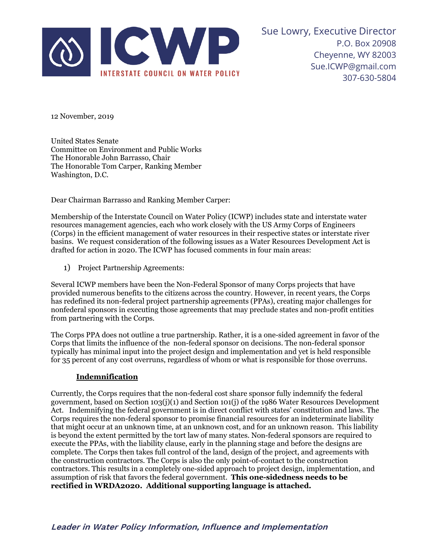

Sue Lowry, Executive Director P.O. Box 20908 Cheyenne, WY 82003 Sue.ICWP@gmail.com 307-630-5804

12 November, 2019

United States Senate Committee on Environment and Public Works The Honorable John Barrasso, Chair The Honorable Tom Carper, Ranking Member Washington, D.C.

Dear Chairman Barrasso and Ranking Member Carper:

Membership of the Interstate Council on Water Policy (ICWP) includes state and interstate water resources management agencies, each who work closely with the US Army Corps of Engineers (Corps) in the efficient management of water resources in their respective states or interstate river basins. We request consideration of the following issues as a Water Resources Development Act is drafted for action in 2020. The ICWP has focused comments in four main areas:

1) Project Partnership Agreements:

Several ICWP members have been the Non-Federal Sponsor of many Corps projects that have provided numerous benefits to the citizens across the country. However, in recent years, the Corps has redefined its non-federal project partnership agreements (PPAs), creating major challenges for nonfederal sponsors in executing those agreements that may preclude states and non-profit entities from partnering with the Corps.

The Corps PPA does not outline a true partnership. Rather, it is a one-sided agreement in favor of the Corps that limits the influence of the non-federal sponsor on decisions. The non-federal sponsor typically has minimal input into the project design and implementation and yet is held responsible for 35 percent of any cost overruns, regardless of whom or what is responsible for those overruns.

## **Indemnification**

Currently, the Corps requires that the non-federal cost share sponsor fully indemnify the federal government, based on Section 103(j)(1) and Section 101(j) of the 1986 Water Resources Development Act. Indemnifying the federal government is in direct conflict with states' constitution and laws. The Corps requires the non-federal sponsor to promise financial resources for an indeterminate liability that might occur at an unknown time, at an unknown cost, and for an unknown reason. This liability is beyond the extent permitted by the tort law of many states. Non-federal sponsors are required to execute the PPAs, with the liability clause, early in the planning stage and before the designs are complete. The Corps then takes full control of the land, design of the project, and agreements with the construction contractors. The Corps is also the only point-of-contact to the construction contractors. This results in a completely one-sided approach to project design, implementation, and assumption of risk that favors the federal government. **This one-sidedness needs to be rectified in WRDA2020. Additional supporting language is attached.**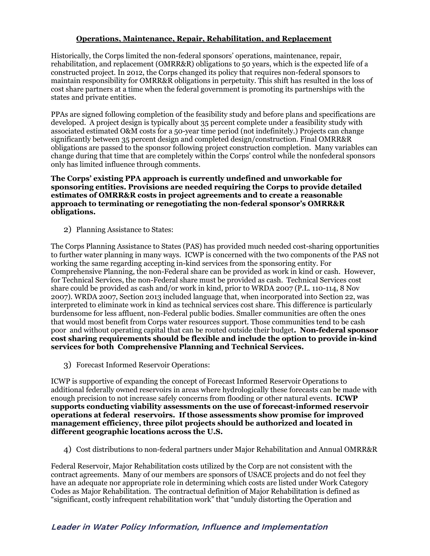## **Operations, Maintenance, Repair, Rehabilitation, and Replacement**

Historically, the Corps limited the non-federal sponsors' operations, maintenance, repair, rehabilitation, and replacement (OMRR&R) obligations to 50 years, which is the expected life of a constructed project. In 2012, the Corps changed its policy that requires non-federal sponsors to maintain responsibility for OMRR&R obligations in perpetuity. This shift has resulted in the loss of cost share partners at a time when the federal government is promoting its partnerships with the states and private entities.

PPAs are signed following completion of the feasibility study and before plans and specifications are developed. A project design is typically about 35 percent complete under a feasibility study with associated estimated O&M costs for a 50-year time period (not indefinitely.) Projects can change significantly between 35 percent design and completed design/construction. Final OMRR&R obligations are passed to the sponsor following project construction completion. Many variables can change during that time that are completely within the Corps' control while the nonfederal sponsors only has limited influence through comments.

## **The Corps' existing PPA approach is currently undefined and unworkable for sponsoring entities. Provisions are needed requiring the Corps to provide detailed estimates of OMRR&R costs in project agreements and to create a reasonable approach to terminating or renegotiating the non-federal sponsor's OMRR&R obligations.**

2) Planning Assistance to States:

The Corps Planning Assistance to States (PAS) has provided much needed cost-sharing opportunities to further water planning in many ways. ICWP is concerned with the two components of the PAS not working the same regarding accepting in-kind services from the sponsoring entity. For Comprehensive Planning, the non-Federal share can be provided as work in kind or cash. However, for Technical Services, the non-Federal share must be provided as cash. Technical Services cost share could be provided as cash and/or work in kind, prior to WRDA 2007 (P.L. 110-114, 8 Nov 2007). WRDA 2007, Section 2013 included language that, when incorporated into Section 22, was interpreted to eliminate work in kind as technical services cost share. This difference is particularly burdensome for less affluent, non-Federal public bodies. Smaller communities are often the ones that would most benefit from Corps water resources support. Those communities tend to be cash poor and without operating capital that can be routed outside their budget**. Non-federal sponsor cost sharing requirements should be flexible and include the option to provide in-kind services for both Comprehensive Planning and Technical Services.**

3) Forecast Informed Reservoir Operations:

ICWP is supportive of expanding the concept of Forecast Informed Reservoir Operations to additional federally owned reservoirs in areas where hydrologically these forecasts can be made with enough precision to not increase safely concerns from flooding or other natural events. **ICWP supports conducting viability assessments on the use of forecast-informed reservoir operations at federal reservoirs. If those assessments show promise for improved management efficiency, three pilot projects should be authorized and located in different geographic locations across the U.S.**

4) Cost distributions to non-federal partners under Major Rehabilitation and Annual OMRR&R

Federal Reservoir, Major Rehabilitation costs utilized by the Corp are not consistent with the contract agreements. Many of our members are sponsors of USACE projects and do not feel they have an adequate nor appropriate role in determining which costs are listed under Work Category Codes as Major Rehabilitation. The contractual definition of Major Rehabilitation is defined as "significant, costly infrequent rehabilitation work" that "unduly distorting the Operation and

## **Leader in Water Policy Information, Influence and Implementation**